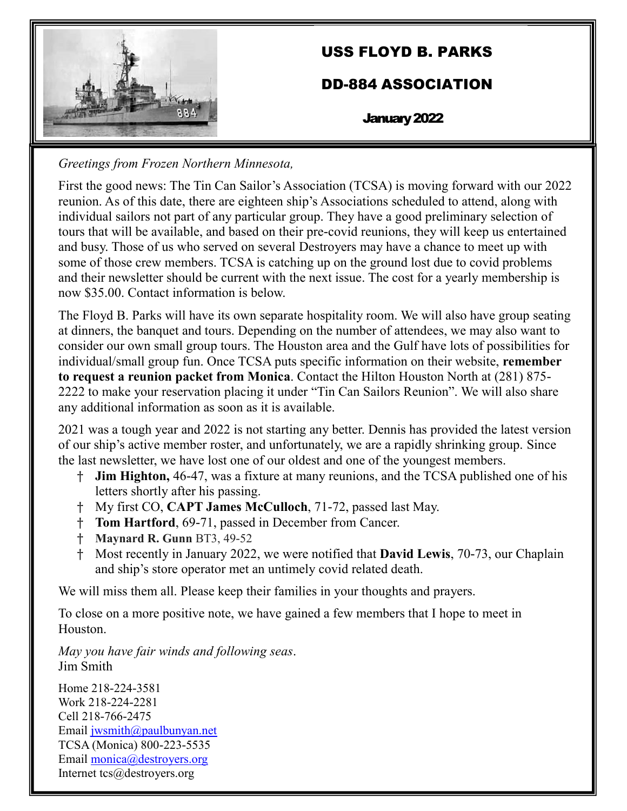

# USS FLOYD B. PARKS

## DD-884 ASSOCIATION

January 2022

*Greetings from Frozen Northern Minnesota,*

First the good news: The Tin Can Sailor's Association (TCSA) is moving forward with our 2022 reunion. As of this date, there are eighteen ship's Associations scheduled to attend, along with individual sailors not part of any particular group. They have a good preliminary selection of tours that will be available, and based on their pre-covid reunions, they will keep us entertained and busy. Those of us who served on several Destroyers may have a chance to meet up with some of those crew members. TCSA is catching up on the ground lost due to covid problems and their newsletter should be current with the next issue. The cost for a yearly membership is now \$35.00. Contact information is below.

The Floyd B. Parks will have its own separate hospitality room. We will also have group seating at dinners, the banquet and tours. Depending on the number of attendees, we may also want to consider our own small group tours. The Houston area and the Gulf have lots of possibilities for individual/small group fun. Once TCSA puts specific information on their website, **remember to request a reunion packet from Monica**. Contact the Hilton Houston North at (281) 875- 2222 to make your reservation placing it under "Tin Can Sailors Reunion". We will also share any additional information as soon as it is available.

2021 was a tough year and 2022 is not starting any better. Dennis has provided the latest version of our ship's active member roster, and unfortunately, we are a rapidly shrinking group. Since the last newsletter, we have lost one of our oldest and one of the youngest members.

- † **Jim Highton,** 46-47, was a fixture at many reunions, and the TCSA published one of his letters shortly after his passing.
- † My first CO, **CAPT James McCulloch**, 71-72, passed last May.
- † **Tom Hartford**, 69-71, passed in December from Cancer.
- † **Maynard R. Gunn** BT3, 49-52
- † Most recently in January 2022, we were notified that **David Lewis**, 70-73, our Chaplain and ship's store operator met an untimely covid related death.

We will miss them all. Please keep their families in your thoughts and prayers.

To close on a more positive note, we have gained a few members that I hope to meet in Houston.

*May you have fair winds and following seas*. Jim Smith

Home 218-224-3581 Work 218-224-2281 Cell 218-766-2475 Email [jwsmith@paulbunyan.net](mailto:jwsmith@paulbunyan.net) TCSA (Monica) 800-223-5535 Email [monica@destroyers.org](mailto:monica@destroyers.org) Internet tcs@destroyers.org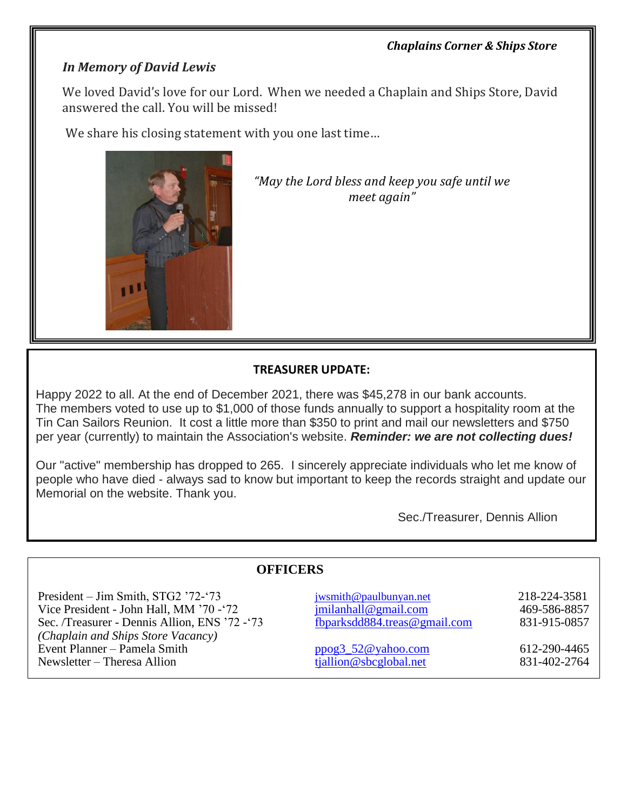#### *Chaplains Corner & Ships Store*

### *In Memory of David Lewis*

We loved David's love for our Lord. When we needed a Chaplain and Ships Store, David answered the call. You will be missed!

We share his closing statement with you one last time…



*"May the Lord bless and keep you safe until we meet again"*

#### **TREASURER UPDATE:**

Happy 2022 to all. At the end of December 2021, there was \$45,278 in our bank accounts. The members voted to use up to \$1,000 of those funds annually to support a hospitality room at the Tin Can Sailors Reunion. It cost a little more than \$350 to print and mail our newsletters and \$750 per year (currently) to maintain the Association's website. *Reminder: we are not collecting dues!*

Our "active" membership has dropped to 265. I sincerely appreciate individuals who let me know of people who have died - always sad to know but important to keep the records straight and update our Memorial on the website. Thank you.

Sec./Treasurer, Dennis Allion

#### **OFFICERS** President – Jim Smith, STG2 '72-'73 Vice President - John Hall, MM '70 -'72 [jwsmith@paulbunyan.net](mailto:jwsmith@paulbunyan.net) [jmilanhall@gmail.com](mailto:jmilanhall@gmail.com) 218-224-3581 469-586-8857 Sec. /Treasurer - Dennis Allion, ENS '72 - '73 [fbparksdd884.treas@gmail.com](mailto:fbparksdd884.treas@gmail.com) 831-915-0857 *(Chaplain and Ships Store Vacancy)* Event Planner – Pamela Smith [ppog3\\_52@yahoo.com](mailto:ppog3_52@yahoo.com) 612-290-4465<br>
Newsletter – Theresa Allion (iallion @sbcglobal.net 612-290-4465 Newsletter – Theresa Allion the tiallion of the second tiallion of the second tiallion of the second tiallion of the second tiallion of the second tiallion of the second tiallion of the second tiallion of the second tialli